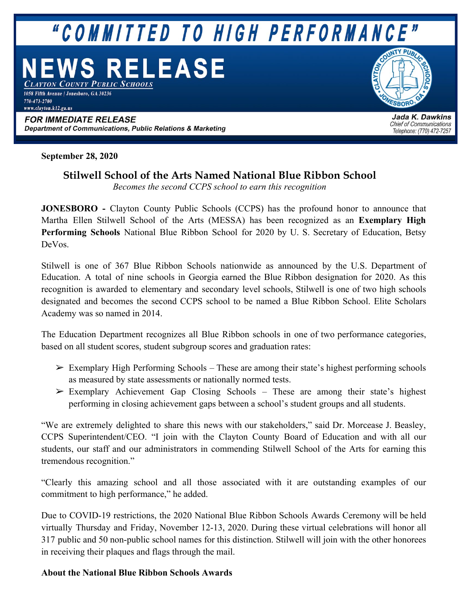## "COMMITTED TO HIGH PERFORMANCE"

# **WS RELEASE**

**YTON COUNTY PUBLIC SCHOOLS** 1058 Fifth Avenue | Jonesboro, GA 30236 770-473-2700 www.clayton.k12.ga.us

**FOR IMMEDIATE RELEASE** Department of Communications, Public Relations & Marketing **SRORO** 

Jada K. Dawkins **Chief of Communications** Telephone: (770) 472-7257

**September 28, 2020**

## **Stilwell School of the Arts Named National Blue Ribbon School**

*Becomes the second CCPS school to earn this recognition*

**JONESBORO -** Clayton County Public Schools (CCPS) has the profound honor to announce that Martha Ellen Stilwell School of the Arts (MESSA) has been recognized as an **Exemplary High Performing Schools** National Blue Ribbon School for 2020 by U. S. Secretary of Education, Betsy DeVos.

Stilwell is one of 367 Blue Ribbon Schools nationwide as announced by the U.S. Department of Education. A total of nine schools in Georgia earned the Blue Ribbon designation for 2020. As this recognition is awarded to elementary and secondary level schools, Stilwell is one of two high schools designated and becomes the second CCPS school to be named a Blue Ribbon School. Elite Scholars Academy was so named in 2014.

The Education Department recognizes all Blue Ribbon schools in one of two performance categories, based on all student scores, student subgroup scores and graduation rates:

- $\triangleright$  Exemplary High Performing Schools These are among their state's highest performing schools as measured by state assessments or nationally normed tests.
- $\triangleright$  Exemplary Achievement Gap Closing Schools These are among their state's highest performing in closing achievement gaps between a school's student groups and all students.

"We are extremely delighted to share this news with our stakeholders," said Dr. Morcease J. Beasley, CCPS Superintendent/CEO. "I join with the Clayton County Board of Education and with all our students, our staff and our administrators in commending Stilwell School of the Arts for earning this tremendous recognition."

"Clearly this amazing school and all those associated with it are outstanding examples of our commitment to high performance," he added.

Due to COVID-19 restrictions, the 2020 National Blue Ribbon Schools Awards Ceremony will be held virtually Thursday and Friday, November 12-13, 2020. During these virtual celebrations will honor all 317 public and 50 non-public school names for this distinction. Stilwell will join with the other honorees in receiving their plaques and flags through the mail.

### **About the National Blue Ribbon Schools Awards**